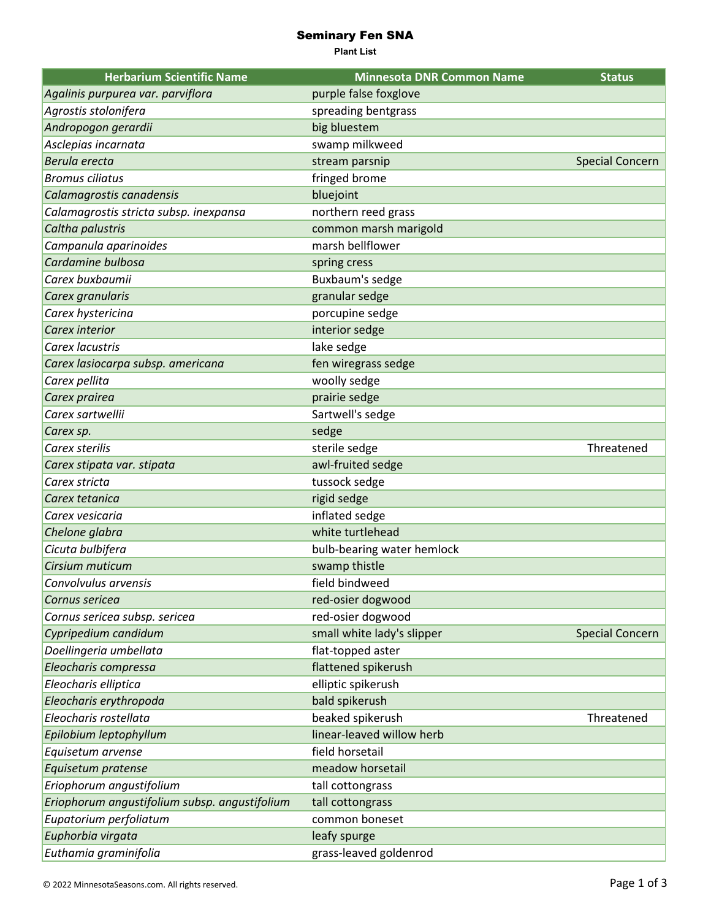## Seminary Fen SNA

**Plant List**

| <b>Herbarium Scientific Name</b>              | <b>Minnesota DNR Common Name</b> | <b>Status</b>          |
|-----------------------------------------------|----------------------------------|------------------------|
| Agalinis purpurea var. parviflora             | purple false foxglove            |                        |
| Agrostis stolonifera                          | spreading bentgrass              |                        |
| Andropogon gerardii                           | big bluestem                     |                        |
| Asclepias incarnata                           | swamp milkweed                   |                        |
| Berula erecta                                 | stream parsnip                   | <b>Special Concern</b> |
| <b>Bromus ciliatus</b>                        | fringed brome                    |                        |
| Calamagrostis canadensis                      | bluejoint                        |                        |
| Calamagrostis stricta subsp. inexpansa        | northern reed grass              |                        |
| Caltha palustris                              | common marsh marigold            |                        |
| Campanula aparinoides                         | marsh bellflower                 |                        |
| Cardamine bulbosa                             | spring cress                     |                        |
| Carex buxbaumii                               | Buxbaum's sedge                  |                        |
| Carex granularis                              | granular sedge                   |                        |
| Carex hystericina                             | porcupine sedge                  |                        |
| Carex interior                                | interior sedge                   |                        |
| Carex lacustris                               | lake sedge                       |                        |
| Carex lasiocarpa subsp. americana             | fen wiregrass sedge              |                        |
| Carex pellita                                 | woolly sedge                     |                        |
| Carex prairea                                 | prairie sedge                    |                        |
| Carex sartwellii                              | Sartwell's sedge                 |                        |
| Carex sp.                                     | sedge                            |                        |
| Carex sterilis                                | sterile sedge                    | Threatened             |
| Carex stipata var. stipata                    | awl-fruited sedge                |                        |
| Carex stricta                                 | tussock sedge                    |                        |
| Carex tetanica                                | rigid sedge                      |                        |
| Carex vesicaria                               | inflated sedge                   |                        |
| Chelone glabra                                | white turtlehead                 |                        |
| Cicuta bulbifera                              | bulb-bearing water hemlock       |                        |
| Cirsium muticum                               | swamp thistle                    |                        |
| Convolvulus arvensis                          | field bindweed                   |                        |
| Cornus sericea                                | red-osier dogwood                |                        |
| Cornus sericea subsp. sericea                 | red-osier dogwood                |                        |
| Cypripedium candidum                          | small white lady's slipper       | <b>Special Concern</b> |
| Doellingeria umbellata                        | flat-topped aster                |                        |
| Eleocharis compressa                          | flattened spikerush              |                        |
| Eleocharis elliptica                          | elliptic spikerush               |                        |
| Eleocharis erythropoda                        | bald spikerush                   |                        |
| Eleocharis rostellata                         | beaked spikerush                 | Threatened             |
| Epilobium leptophyllum                        | linear-leaved willow herb        |                        |
| Equisetum arvense                             | field horsetail                  |                        |
| Equisetum pratense                            | meadow horsetail                 |                        |
| Eriophorum angustifolium                      | tall cottongrass                 |                        |
| Eriophorum angustifolium subsp. angustifolium | tall cottongrass                 |                        |
| Eupatorium perfoliatum                        | common boneset                   |                        |
| Euphorbia virgata                             | leafy spurge                     |                        |
| Euthamia graminifolia                         | grass-leaved goldenrod           |                        |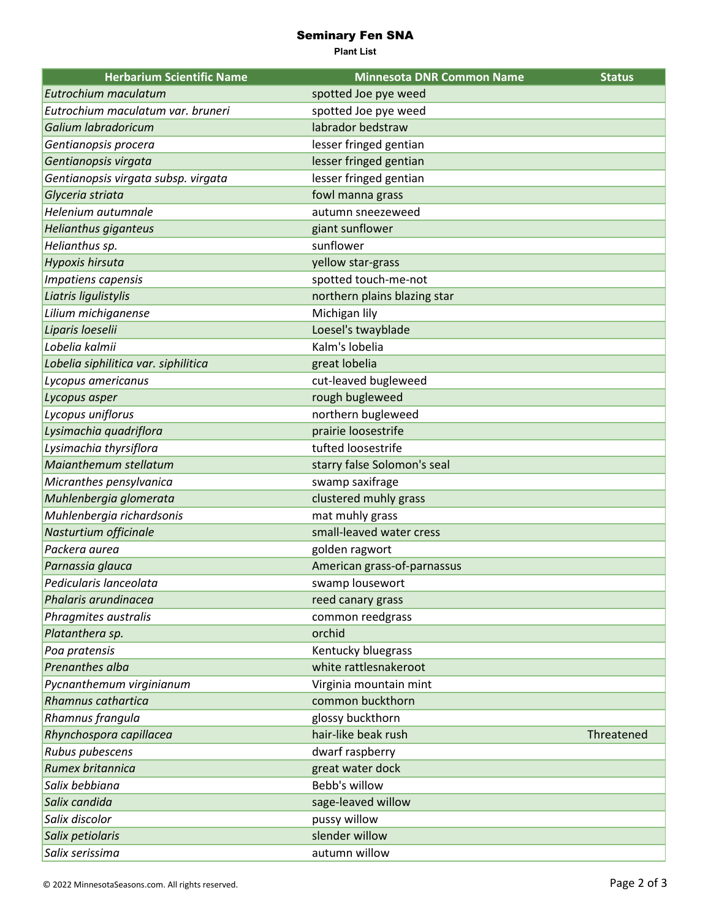## Seminary Fen SNA

**Plant List**

| <b>Herbarium Scientific Name</b>     | <b>Minnesota DNR Common Name</b> | <b>Status</b> |
|--------------------------------------|----------------------------------|---------------|
| Eutrochium maculatum                 | spotted Joe pye weed             |               |
| Eutrochium maculatum var. bruneri    | spotted Joe pye weed             |               |
| Galium labradoricum                  | labrador bedstraw                |               |
| Gentianopsis procera                 | lesser fringed gentian           |               |
| Gentianopsis virgata                 | lesser fringed gentian           |               |
| Gentianopsis virgata subsp. virgata  | lesser fringed gentian           |               |
| Glyceria striata                     | fowl manna grass                 |               |
| Helenium autumnale                   | autumn sneezeweed                |               |
| Helianthus giganteus                 | giant sunflower                  |               |
| Helianthus sp.                       | sunflower                        |               |
| Hypoxis hirsuta                      | yellow star-grass                |               |
| Impatiens capensis                   | spotted touch-me-not             |               |
| Liatris ligulistylis                 | northern plains blazing star     |               |
| Lilium michiganense                  | Michigan lily                    |               |
| Liparis loeselii                     | Loesel's twayblade               |               |
| Lobelia kalmii                       | Kalm's lobelia                   |               |
| Lobelia siphilitica var. siphilitica | great lobelia                    |               |
| Lycopus americanus                   | cut-leaved bugleweed             |               |
| Lycopus asper                        | rough bugleweed                  |               |
| Lycopus uniflorus                    | northern bugleweed               |               |
| Lysimachia quadriflora               | prairie loosestrife              |               |
| Lysimachia thyrsiflora               | tufted loosestrife               |               |
| Maianthemum stellatum                | starry false Solomon's seal      |               |
| Micranthes pensylvanica              | swamp saxifrage                  |               |
| Muhlenbergia glomerata               | clustered muhly grass            |               |
| Muhlenbergia richardsonis            | mat muhly grass                  |               |
| Nasturtium officinale                | small-leaved water cress         |               |
| Packera aurea                        | golden ragwort                   |               |
| Parnassia glauca                     | American grass-of-parnassus      |               |
| Pedicularis lanceolata               | swamp lousewort                  |               |
| Phalaris arundinacea                 | reed canary grass                |               |
| Phragmites australis                 | common reedgrass                 |               |
| Platanthera sp.                      | orchid                           |               |
| Poa pratensis                        | Kentucky bluegrass               |               |
| Prenanthes alba                      | white rattlesnakeroot            |               |
| Pycnanthemum virginianum             | Virginia mountain mint           |               |
| Rhamnus cathartica                   | common buckthorn                 |               |
| Rhamnus frangula                     | glossy buckthorn                 |               |
| Rhynchospora capillacea              | hair-like beak rush              | Threatened    |
| Rubus pubescens                      | dwarf raspberry                  |               |
| Rumex britannica                     | great water dock                 |               |
| Salix bebbiana                       | Bebb's willow                    |               |
| Salix candida                        | sage-leaved willow               |               |
| Salix discolor                       | pussy willow                     |               |
| Salix petiolaris                     | slender willow                   |               |
| Salix serissima                      | autumn willow                    |               |